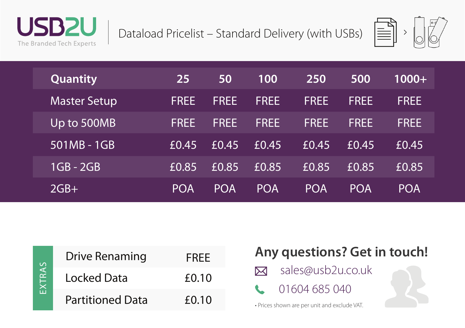

Dataload Pricelist – Standard Delivery (with USBs)



| <b>Quantity</b>     | 25          | 50          | 100         | 250         | 500         | $1000+$     |
|---------------------|-------------|-------------|-------------|-------------|-------------|-------------|
| <b>Master Setup</b> | <b>FREE</b> | <b>FREE</b> | <b>FREE</b> | <b>FREE</b> | <b>FREE</b> | <b>FREE</b> |
| Up to 500MB         | <b>FREE</b> | <b>FREE</b> | <b>FREE</b> | <b>FRFF</b> | <b>FREE</b> | <b>FREE</b> |
| 501MB - 1GB         | £0.45       | f(0.45)     | £0.45       | £0.45       | £0.45       | £0.45       |
| $1GB - 2GB$         | £0.85       | £0.85       | £0.85       | £0.85       | £0.85       | £0.85       |
| $2GB+$              | <b>POA</b>  | <b>POA</b>  | <b>POA</b>  | <b>POA</b>  | <b>POA</b>  | <b>POA</b>  |



| <b>Drive Renaming</b>   | <b>FRFF</b> |
|-------------------------|-------------|
| Locked Data             | £0.10       |
| <b>Partitioned Data</b> | f(0.10)     |

## **Any questions? Get in touch!**

- sales@usb2u.co.uk  $\boxtimes$
- 01604 685 040

• Prices shown are per unit and exclude VAT.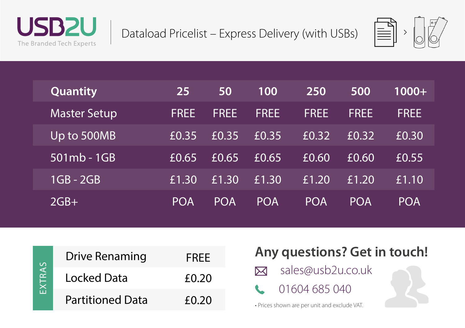

Dataload Pricelist – Express Delivery (with USBs)



| Quantity            | 25          | 50          | 100         | 250                 | 500         | $1000+$     |
|---------------------|-------------|-------------|-------------|---------------------|-------------|-------------|
| <b>Master Setup</b> | <b>FREE</b> | <b>FREE</b> | <b>FREE</b> | <b>FREE</b>         | <b>FREE</b> | <b>FREE</b> |
| Up to 500MB         | E0.35       | £0.35       | £0.35       | £0.32               | E(0.32)     | £0.30       |
| $501mb - 1GB$       | £0.65       | £0.65       | £0.65       | $E$ <sub>0.60</sub> | £0.60       | £0.55       |
| $1GB - 2GB$         | £1.30       | £1.30       | £1.30       | £1.20               | £1.20       | £1.10       |
| $2GB+$              | <b>POA</b>  | <b>POA</b>  | <b>POA</b>  | <b>POA</b>          | <b>POA</b>  | <b>POA</b>  |



| <b>Drive Renaming</b>   | <b>FREE</b> |
|-------------------------|-------------|
| Locked Data             | £0.20       |
| <b>Partitioned Data</b> | f(0.20)     |

## **Any questions? Get in touch!**

- sales@usb2u.co.uk  $\boxtimes$
- 01604 685 040

• Prices shown are per unit and exclude VAT.